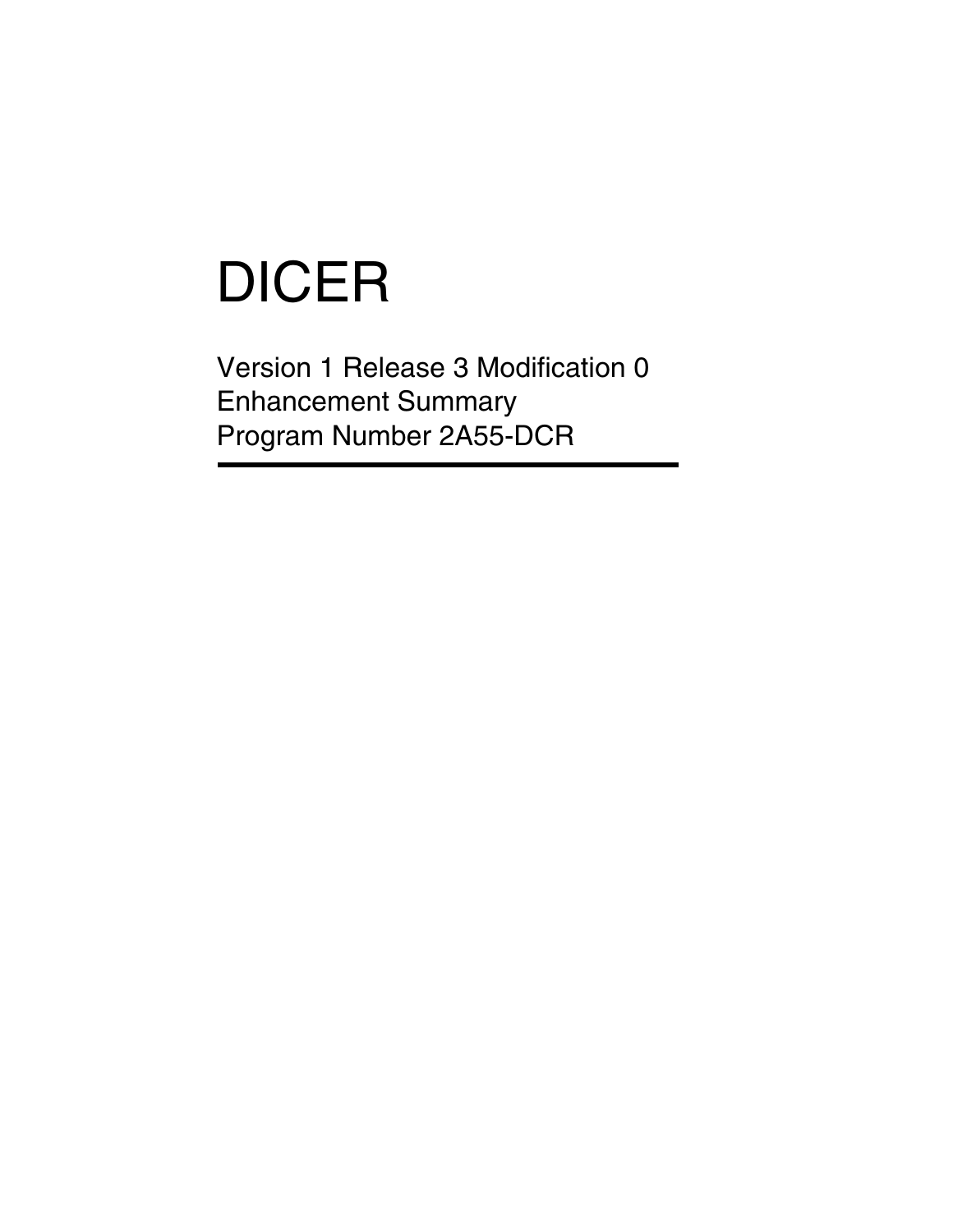# DICER

Version 1 Release 3 Modification 0 Enhancement Summary Program Number 2A55-DCR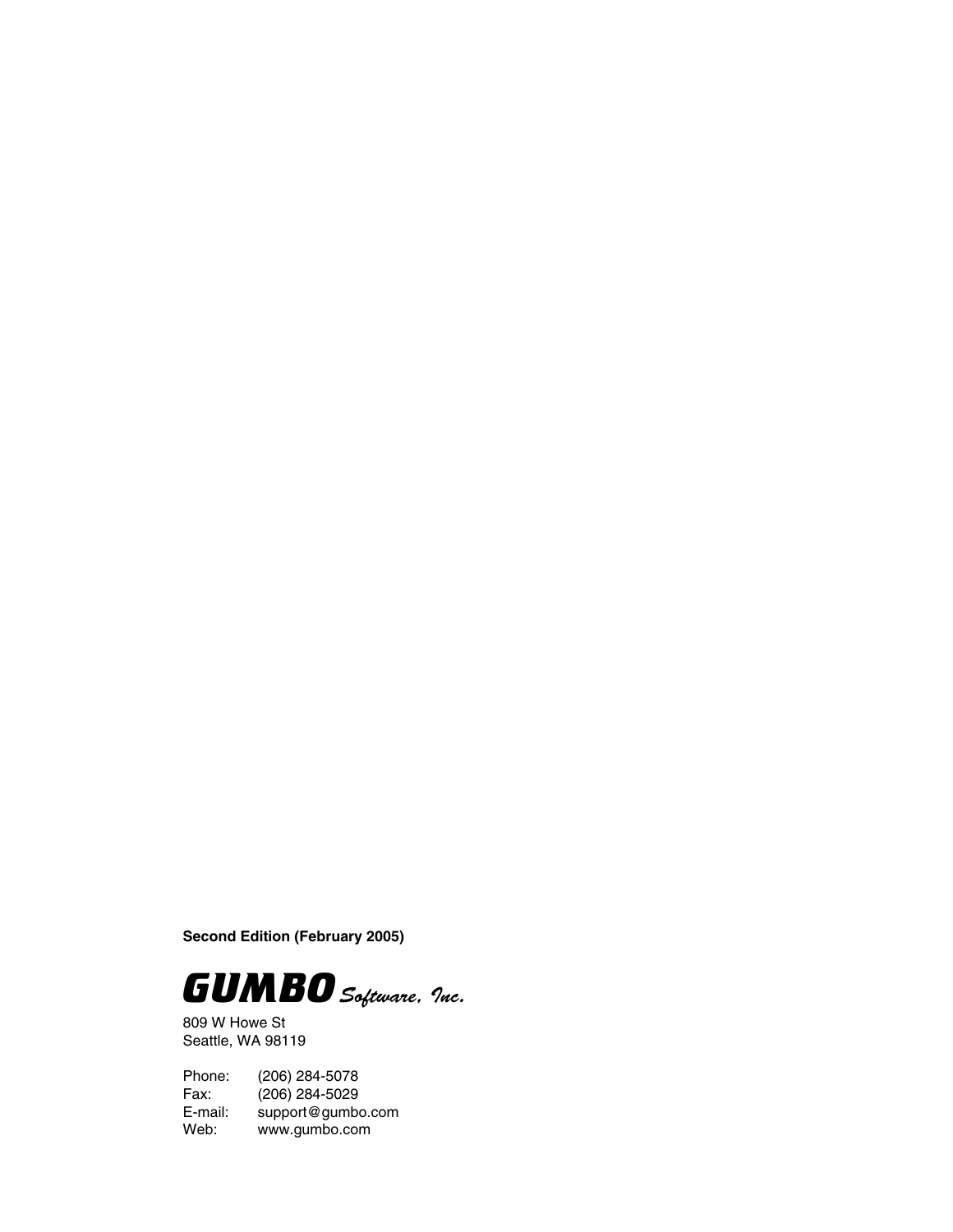**Second Edition (February 2005)**



809 W Howe St Seattle, WA 98119

Phone: (206) 284-5078 Fax: (206) 284-5029<br>E-mail: support@gumb E-mail: support@gumbo.com<br>Web: www.gumbo.com www.gumbo.com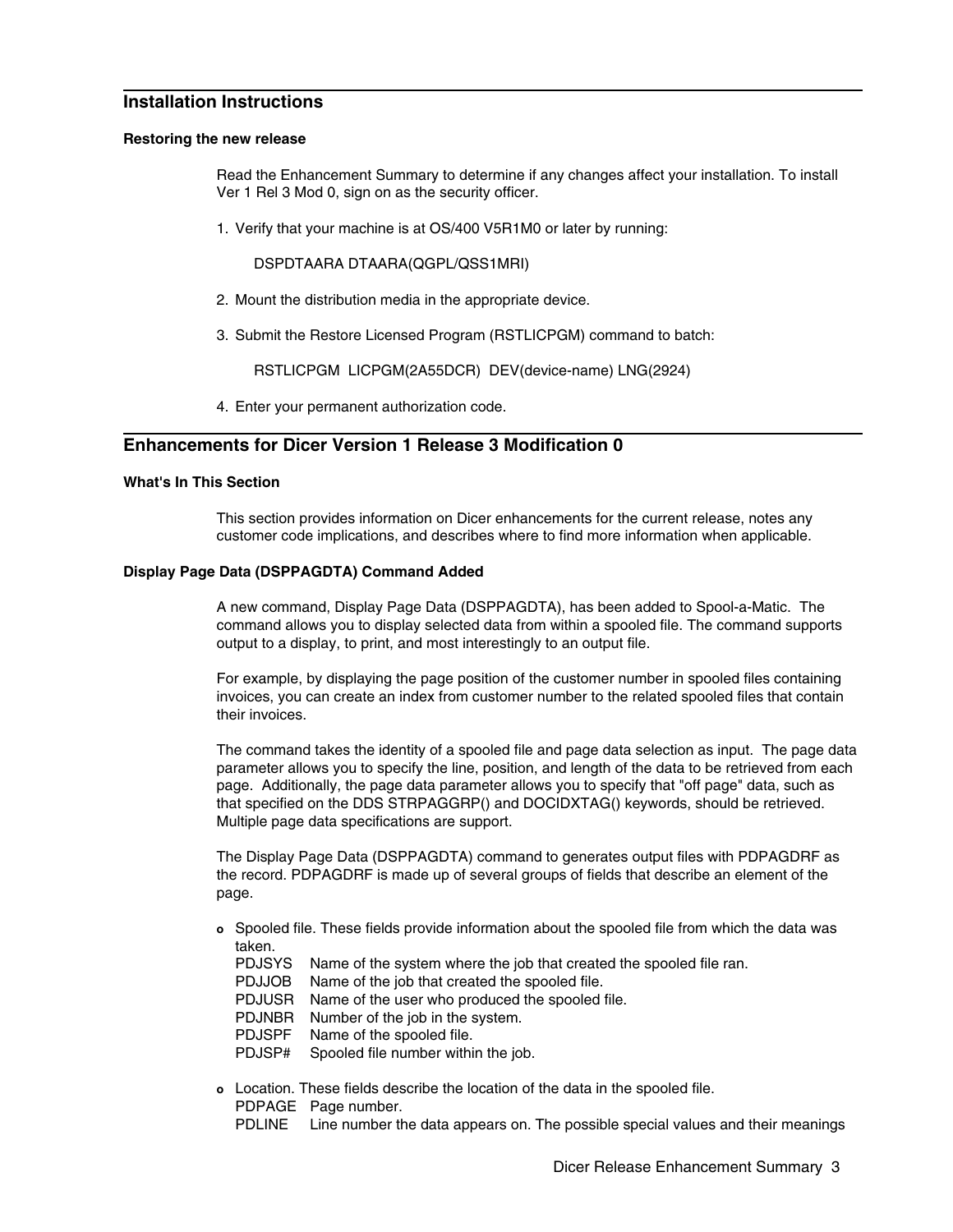# **Installation Instructions**

#### **Restoring the new release**

Read the Enhancement Summary to determine if any changes affect your installation. To install Ver 1 Rel 3 Mod 0, sign on as the security officer.

1. Verify that your machine is at OS/400 V5R1M0 or later by running:

DSPDTAARA DTAARA(QGPL/QSS1MRI)

- 2. Mount the distribution media in the appropriate device.
- 3. Submit the Restore Licensed Program (RSTLICPGM) command to batch:

RSTLICPGM LICPGM(2A55DCR) DEV(device-name) LNG(2924)

4. Enter your permanent authorization code.

# **Enhancements for Dicer Version 1 Release 3 Modification 0**

#### **What's In This Section**

This section provides information on Dicer enhancements for the current release, notes any customer code implications, and describes where to find more information when applicable.

### **Display Page Data (DSPPAGDTA) Command Added**

A new command, Display Page Data (DSPPAGDTA), has been added to Spool-a-Matic. The command allows you to display selected data from within a spooled file. The command supports output to a display, to print, and most interestingly to an output file.

For example, by displaying the page position of the customer number in spooled files containing invoices, you can create an index from customer number to the related spooled files that contain their invoices.

The command takes the identity of a spooled file and page data selection as input. The page data parameter allows you to specify the line, position, and length of the data to be retrieved from each page. Additionally, the page data parameter allows you to specify that "off page" data, such as that specified on the DDS STRPAGGRP() and DOCIDXTAG() keywords, should be retrieved. Multiple page data specifications are support.

The Display Page Data (DSPPAGDTA) command to generates output files with PDPAGDRF as the record. PDPAGDRF is made up of several groups of fields that describe an element of the page.

- **o** Spooled file. These fields provide information about the spooled file from which the data was taken.
	- PDJSYS Name of the system where the job that created the spooled file ran.
	- PDJJOB Name of the job that created the spooled file.
	- PDJUSR Name of the user who produced the spooled file.
	- PDJNBR Number of the job in the system.
	- PDJSPF Name of the spooled file.
	- PDJSP# Spooled file number within the job.
- **o** Location. These fields describe the location of the data in the spooled file. PDPAGE Page number.
	- PDLINE Line number the data appears on. The possible special values and their meanings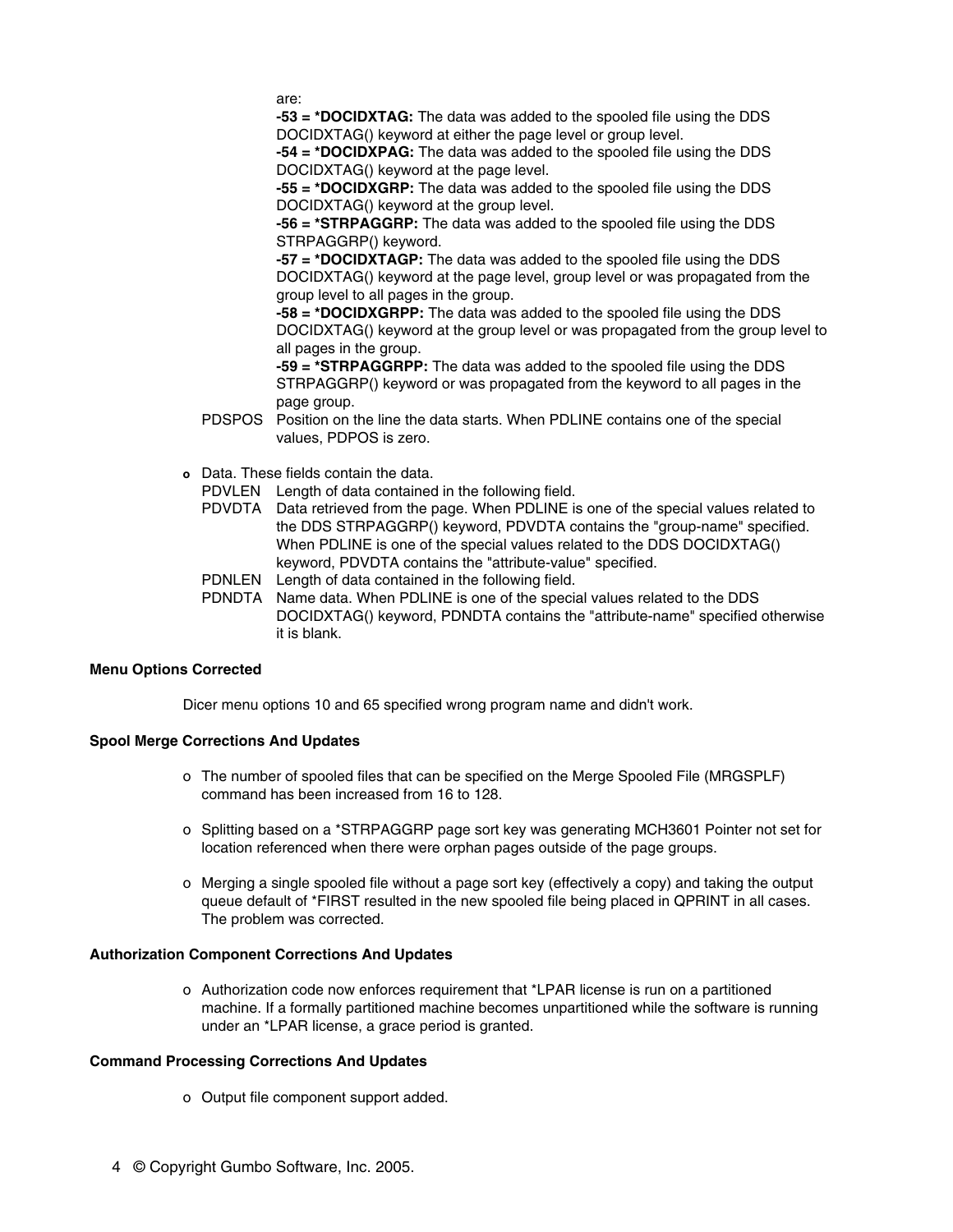are:

**-53 = \*DOCIDXTAG:** The data was added to the spooled file using the DDS DOCIDXTAG() keyword at either the page level or group level.

**-54 = \*DOCIDXPAG:** The data was added to the spooled file using the DDS DOCIDXTAG() keyword at the page level.

**-55 = \*DOCIDXGRP:** The data was added to the spooled file using the DDS DOCIDXTAG() keyword at the group level.

**-56 = \*STRPAGGRP:** The data was added to the spooled file using the DDS STRPAGGRP() keyword.

**-57 = \*DOCIDXTAGP:** The data was added to the spooled file using the DDS DOCIDXTAG() keyword at the page level, group level or was propagated from the group level to all pages in the group.

**-58 = \*DOCIDXGRPP:** The data was added to the spooled file using the DDS DOCIDXTAG() keyword at the group level or was propagated from the group level to all pages in the group.

**-59 = \*STRPAGGRPP:** The data was added to the spooled file using the DDS STRPAGGRP() keyword or was propagated from the keyword to all pages in the page group.

- PDSPOS Position on the line the data starts. When PDLINE contains one of the special values, PDPOS is zero.
- **o** Data. These fields contain the data.
	- PDVLEN Length of data contained in the following field.
	- PDVDTA Data retrieved from the page. When PDLINE is one of the special values related to the DDS STRPAGGRP() keyword, PDVDTA contains the "group-name" specified. When PDLINE is one of the special values related to the DDS DOCIDXTAG() keyword, PDVDTA contains the "attribute-value" specified.
	- PDNLEN Length of data contained in the following field.
	- PDNDTA Name data. When PDLINE is one of the special values related to the DDS DOCIDXTAG() keyword, PDNDTA contains the "attribute-name" specified otherwise it is blank.

#### **Menu Options Corrected**

Dicer menu options 10 and 65 specified wrong program name and didn't work.

## **Spool Merge Corrections And Updates**

- o The number of spooled files that can be specified on the Merge Spooled File (MRGSPLF) command has been increased from 16 to 128.
- o Splitting based on a \*STRPAGGRP page sort key was generating MCH3601 Pointer not set for location referenced when there were orphan pages outside of the page groups.
- o Merging a single spooled file without a page sort key (effectively a copy) and taking the output queue default of \*FIRST resulted in the new spooled file being placed in QPRINT in all cases. The problem was corrected.

## **Authorization Component Corrections And Updates**

o Authorization code now enforces requirement that \*LPAR license is run on a partitioned machine. If a formally partitioned machine becomes unpartitioned while the software is running under an \*LPAR license, a grace period is granted.

# **Command Processing Corrections And Updates**

- o Output file component support added.
- 4 © Copyright Gumbo Software, Inc. 2005.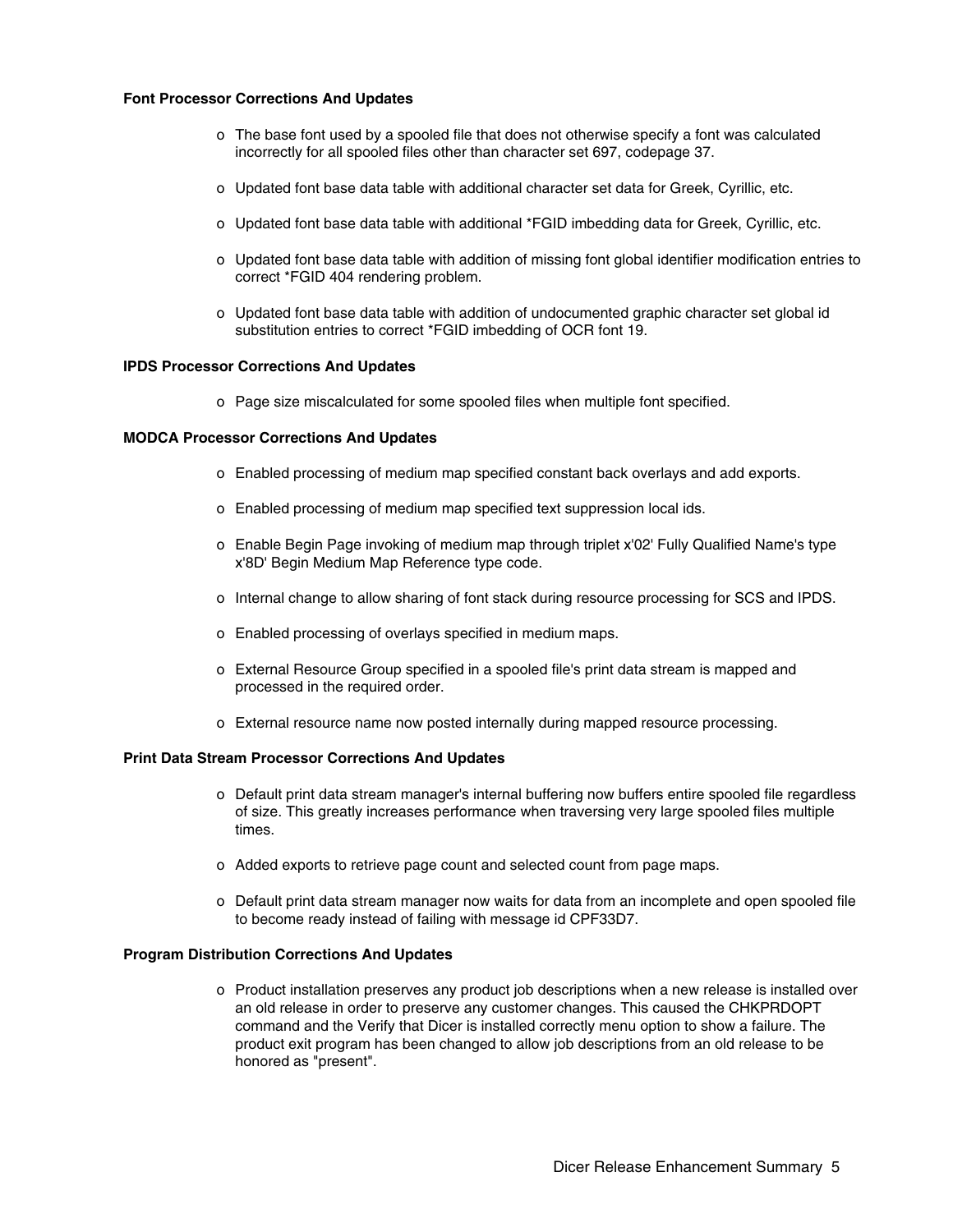#### **Font Processor Corrections And Updates**

- o The base font used by a spooled file that does not otherwise specify a font was calculated incorrectly for all spooled files other than character set 697, codepage 37.
- o Updated font base data table with additional character set data for Greek, Cyrillic, etc.
- o Updated font base data table with additional \*FGID imbedding data for Greek, Cyrillic, etc.
- o Updated font base data table with addition of missing font global identifier modification entries to correct \*FGID 404 rendering problem.
- o Updated font base data table with addition of undocumented graphic character set global id substitution entries to correct \*FGID imbedding of OCR font 19.

#### **IPDS Processor Corrections And Updates**

o Page size miscalculated for some spooled files when multiple font specified.

#### **MODCA Processor Corrections And Updates**

- o Enabled processing of medium map specified constant back overlays and add exports.
- o Enabled processing of medium map specified text suppression local ids.
- o Enable Begin Page invoking of medium map through triplet x'02' Fully Qualified Name's type x'8D' Begin Medium Map Reference type code.
- o Internal change to allow sharing of font stack during resource processing for SCS and IPDS.
- o Enabled processing of overlays specified in medium maps.
- o External Resource Group specified in a spooled file's print data stream is mapped and processed in the required order.
- o External resource name now posted internally during mapped resource processing.

#### **Print Data Stream Processor Corrections And Updates**

- o Default print data stream manager's internal buffering now buffers entire spooled file regardless of size. This greatly increases performance when traversing very large spooled files multiple times.
- o Added exports to retrieve page count and selected count from page maps.
- o Default print data stream manager now waits for data from an incomplete and open spooled file to become ready instead of failing with message id CPF33D7.

#### **Program Distribution Corrections And Updates**

o Product installation preserves any product job descriptions when a new release is installed over an old release in order to preserve any customer changes. This caused the CHKPRDOPT command and the Verify that Dicer is installed correctly menu option to show a failure. The product exit program has been changed to allow job descriptions from an old release to be honored as "present".